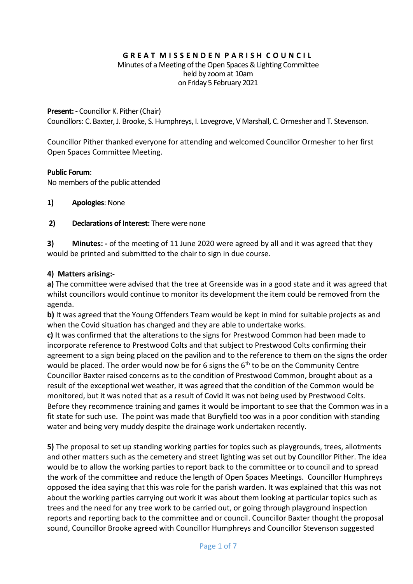#### **G R E A T M I S S E N D E N P A R I S H C O U N C I L** Minutes of a Meeting of the Open Spaces & Lighting Committee held by zoom at 10am on Friday 5 February 2021

#### **Present: -** Councillor K. Pither (Chair)

Councillors: C. Baxter, J. Brooke, S. Humphreys, I. Lovegrove, V Marshall, C. Ormesher and T. Stevenson.

Councillor Pither thanked everyone for attending and welcomed Councillor Ormesher to her first Open Spaces Committee Meeting.

#### **Public Forum**:

No members of the public attended

- **1) Apologies**: None
- **2) Declarations of Interest:** There were none

**3) Minutes: -** of the meeting of 11 June 2020 were agreed by all and it was agreed that they would be printed and submitted to the chair to sign in due course.

#### **4) Matters arising:-**

**a)** The committee were advised that the tree at Greenside was in a good state and it was agreed that whilst councillors would continue to monitor its development the item could be removed from the agenda.

**b)** It was agreed that the Young Offenders Team would be kept in mind for suitable projects as and when the Covid situation has changed and they are able to undertake works.

**c)** It was confirmed that the alterations to the signs for Prestwood Common had been made to incorporate reference to Prestwood Colts and that subject to Prestwood Colts confirming their agreement to a sign being placed on the pavilion and to the reference to them on the signs the order would be placed. The order would now be for 6 signs the  $6<sup>th</sup>$  to be on the Community Centre Councillor Baxter raised concerns as to the condition of Prestwood Common, brought about as a result of the exceptional wet weather, it was agreed that the condition of the Common would be monitored, but it was noted that as a result of Covid it was not being used by Prestwood Colts. Before they recommence training and games it would be important to see that the Common was in a fit state for such use. The point was made that Buryfield too was in a poor condition with standing water and being very muddy despite the drainage work undertaken recently.

**5)** The proposal to set up standing working parties for topics such as playgrounds, trees, allotments and other matters such as the cemetery and street lighting was set out by Councillor Pither. The idea would be to allow the working parties to report back to the committee or to council and to spread the work of the committee and reduce the length of Open Spaces Meetings. Councillor Humphreys opposed the idea saying that this was role for the parish warden. It was explained that this was not about the working parties carrying out work it was about them looking at particular topics such as trees and the need for any tree work to be carried out, or going through playground inspection reports and reporting back to the committee and or council. Councillor Baxter thought the proposal sound, Councillor Brooke agreed with Councillor Humphreys and Councillor Stevenson suggested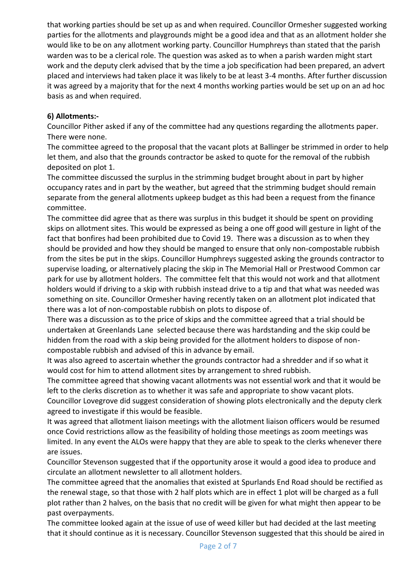that working parties should be set up as and when required. Councillor Ormesher suggested working parties for the allotments and playgrounds might be a good idea and that as an allotment holder she would like to be on any allotment working party. Councillor Humphreys than stated that the parish warden was to be a clerical role. The question was asked as to when a parish warden might start work and the deputy clerk advised that by the time a job specification had been prepared, an advert placed and interviews had taken place it was likely to be at least 3-4 months. After further discussion it was agreed by a majority that for the next 4 months working parties would be set up on an ad hoc basis as and when required.

## **6) Allotments:-**

Councillor Pither asked if any of the committee had any questions regarding the allotments paper. There were none.

The committee agreed to the proposal that the vacant plots at Ballinger be strimmed in order to help let them, and also that the grounds contractor be asked to quote for the removal of the rubbish deposited on plot 1.

The committee discussed the surplus in the strimming budget brought about in part by higher occupancy rates and in part by the weather, but agreed that the strimming budget should remain separate from the general allotments upkeep budget as this had been a request from the finance committee.

The committee did agree that as there was surplus in this budget it should be spent on providing skips on allotment sites. This would be expressed as being a one off good will gesture in light of the fact that bonfires had been prohibited due to Covid 19. There was a discussion as to when they should be provided and how they should be manged to ensure that only non-compostable rubbish from the sites be put in the skips. Councillor Humphreys suggested asking the grounds contractor to supervise loading, or alternatively placing the skip in The Memorial Hall or Prestwood Common car park for use by allotment holders. The committee felt that this would not work and that allotment holders would if driving to a skip with rubbish instead drive to a tip and that what was needed was something on site. Councillor Ormesher having recently taken on an allotment plot indicated that there was a lot of non-compostable rubbish on plots to dispose of.

There was a discussion as to the price of skips and the committee agreed that a trial should be undertaken at Greenlands Lane selected because there was hardstanding and the skip could be hidden from the road with a skip being provided for the allotment holders to dispose of noncompostable rubbish and advised of this in advance by email.

It was also agreed to ascertain whether the grounds contractor had a shredder and if so what it would cost for him to attend allotment sites by arrangement to shred rubbish.

The committee agreed that showing vacant allotments was not essential work and that it would be left to the clerks discretion as to whether it was safe and appropriate to show vacant plots.

Councillor Lovegrove did suggest consideration of showing plots electronically and the deputy clerk agreed to investigate if this would be feasible.

It was agreed that allotment liaison meetings with the allotment liaison officers would be resumed once Covid restrictions allow as the feasibility of holding those meetings as zoom meetings was limited. In any event the ALOs were happy that they are able to speak to the clerks whenever there are issues.

Councillor Stevenson suggested that if the opportunity arose it would a good idea to produce and circulate an allotment newsletter to all allotment holders.

The committee agreed that the anomalies that existed at Spurlands End Road should be rectified as the renewal stage, so that those with 2 half plots which are in effect 1 plot will be charged as a full plot rather than 2 halves, on the basis that no credit will be given for what might then appear to be past overpayments.

The committee looked again at the issue of use of weed killer but had decided at the last meeting that it should continue as it is necessary. Councillor Stevenson suggested that this should be aired in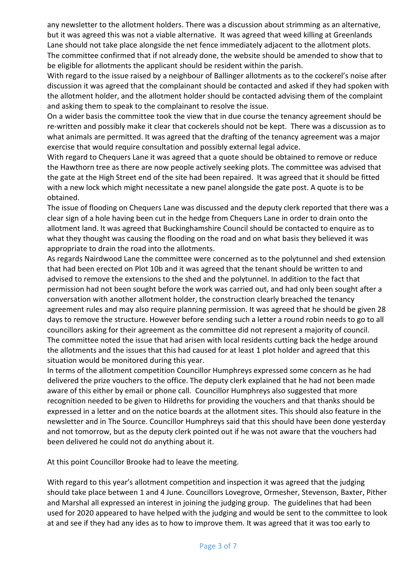any newsletter to the allotment holders. There was a discussion about strimming as an alternative, but it was agreed this was not a viable alternative. It was agreed that weed killing at Greenlands Lane should not take place alongside the net fence immediately adjacent to the allotment plots. The committee confirmed that if not already done, the website should be amended to show that to be eligible for allotments the applicant should be resident within the parish.

With regard to the issue raised by a neighbour of Ballinger allotments as to the cockerel's noise after discussion it was agreed that the complainant should be contacted and asked if they had spoken with the allotment holder, and the allotment holder should be contacted advising them of the complaint and asking them to speak to the complainant to resolve the issue.

On a wider basis the committee took the view that in due course the tenancy agreement should be re-written and possibly make it clear that cockerels should not be kept. There was a discussion as to what animals are permitted. It was agreed that the drafting of the tenancy agreement was a major exercise that would require consultation and possibly external legal advice.

With regard to Chequers Lane it was agreed that a quote should be obtained to remove or reduce the Hawthorn tree as there are now people actively seeking plots. The committee was advised that the gate at the High Street end of the site had been repaired. It was agreed that it should be fitted with a new lock which might necessitate a new panel alongside the gate post. A quote is to be obtained.

The issue of flooding on Chequers Lane was discussed and the deputy clerk reported that there was a clear sign of a hole having been cut in the hedge from Chequers Lane in order to drain onto the allotment land. It was agreed that Buckinghamshire Council should be contacted to enquire as to what they thought was causing the flooding on the road and on what basis they believed it was appropriate to drain the road into the allotments.

As regards Nairdwood Lane the committee were concerned as to the polytunnel and shed extension that had been erected on Plot 10b and it was agreed that the tenant should be written to and advised to remove the extensions to the shed and the polytunnel. In addition to the fact that permission had not been sought before the work was carried out, and had only been sought after a conversation with another allotment holder, the construction clearly breached the tenancy agreement rules and may also require planning permission. It was agreed that he should be given 28 days to remove the structure. However before sending such a letter a round robin needs to go to all councillors asking for their agreement as the committee did not represent a majority of council. The committee noted the issue that had arisen with local residents cutting back the hedge around the allotments and the issues that this had caused for at least 1 plot holder and agreed that this situation would be monitored during this year.

In terms of the allotment competition Councillor Humphreys expressed some concern as he had delivered the prize vouchers to the office. The deputy clerk explained that he had not been made aware of this either by email or phone call. Councillor Humphreys also suggested that more recognition needed to be given to Hildreths for providing the vouchers and that thanks should be expressed in a letter and on the notice boards at the allotment sites. This should also feature in the newsletter and in The Source. Councillor Humphreys said that this should have been done yesterday and not tomorrow, but as the deputy clerk pointed out if he was not aware that the vouchers had been delivered he could not do anything about it.

At this point Councillor Brooke had to leave the meeting.

With regard to this year's allotment competition and inspection it was agreed that the judging should take place between 1 and 4 June. Councillors Lovegrove, Ormesher, Stevenson, Baxter, Pither and Marshal all expressed an interest in joining the judging group. The guidelines that had been used for 2020 appeared to have helped with the judging and would be sent to the committee to look at and see if they had any ides as to how to improve them. It was agreed that it was too early to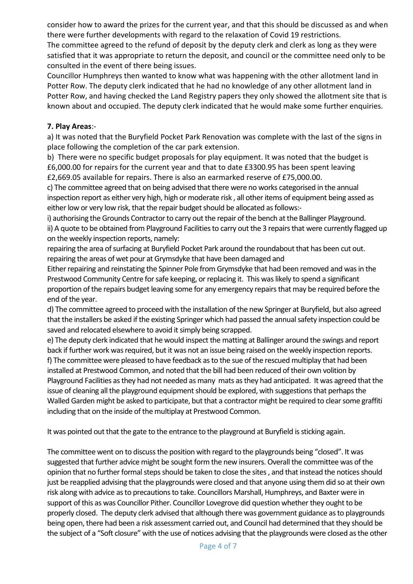consider how to award the prizes for the current year, and that this should be discussed as and when there were further developments with regard to the relaxation of Covid 19 restrictions. The committee agreed to the refund of deposit by the deputy clerk and clerk as long as they were satisfied that it was appropriate to return the deposit, and council or the committee need only to be consulted in the event of there being issues.

Councillor Humphreys then wanted to know what was happening with the other allotment land in Potter Row. The deputy clerk indicated that he had no knowledge of any other allotment land in Potter Row, and having checked the Land Registry papers they only showed the allotment site that is known about and occupied. The deputy clerk indicated that he would make some further enquiries.

### **7. Play Areas**:-

a) It was noted that the Buryfield Pocket Park Renovation was complete with the last of the signs in place following the completion of the car park extension.

b) There were no specific budget proposals for play equipment. It was noted that the budget is £6,000.00 for repairs for the current year and that to date £3300.95 has been spent leaving £2,669.05 available for repairs. There is also an earmarked reserve of £75,000.00.

c) The committee agreed that on being advised that there were no works categorised in the annual inspection report as either very high, high or moderate risk , all other items of equipment being assed as either low or very low risk, that the repair budget should be allocated as follows:-

i) authorising the Grounds Contractor to carry out the repair of the bench at the Ballinger Playground. ii) A quote to be obtained from Playground Facilities to carry out the 3 repairs that were currently flagged up on the weekly inspection reports, namely:

repairing the area of surfacing at Buryfield Pocket Park around the roundabout that has been cut out. repairing the areas of wet pour at Grymsdyke that have been damaged and

Either repairing and reinstating the Spinner Pole from Grymsdyke that had been removed and was in the Prestwood Community Centre for safe keeping, or replacing it. This was likely to spend a significant proportion of the repairs budget leaving some for any emergency repairs that may be required before the end of the year.

d) The committee agreed to proceed with the installation of the new Springer at Buryfield, but also agreed that the installers be asked if the existing Springer which had passed the annual safety inspection could be saved and relocated elsewhere to avoid it simply being scrapped.

e) The deputy clerk indicated that he would inspect the matting at Ballinger around the swings and report back if further work was required, but it was not an issue being raised on the weekly inspection reports. f) The committee were pleased to have feedback as to the sue of the rescued multiplay that had been installed at Prestwood Common, and noted that the bill had been reduced of their own volition by Playground Facilities as they had not needed as many mats as they had anticipated. It was agreed that the issue of cleaning all the playground equipment should be explored, with suggestions that perhaps the Walled Garden might be asked to participate, but that a contractor might be required to clear some graffiti including that on the inside of the multiplay at Prestwood Common.

It was pointed out that the gate to the entrance to the playground at Buryfield is sticking again.

The committee went on to discuss the position with regard to the playgrounds being "closed". It was suggested that further advice might be sought form the new insurers. Overall the committee was of the opinion that no further formal steps should be taken to close the sites , and that instead the notices should just be reapplied advising that the playgrounds were closed and that anyone using them did so at their own risk along with advice as to precautions to take. Councillors Marshall, Humphreys, and Baxter were in support of this as was Councillor Pither. Councillor Lovegrove did question whether they ought to be properly closed. The deputy clerk advised that although there was government guidance as to playgrounds being open, there had been a risk assessment carried out, and Council had determined that they should be the subject of a "Soft closure" with the use of notices advising that the playgrounds were closed as the other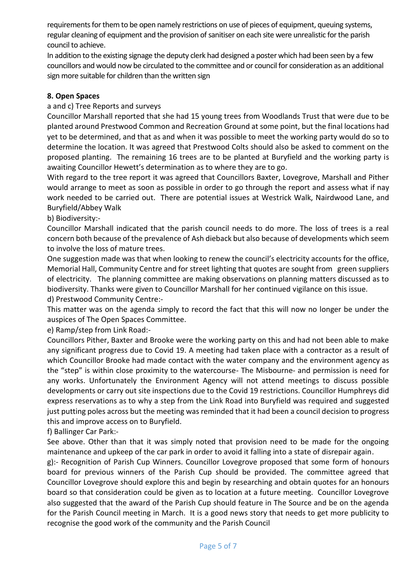requirements for them to be open namely restrictions on use of pieces of equipment, queuing systems, regular cleaning of equipment and the provision of sanitiser on each site were unrealistic for the parish council to achieve.

In addition to the existing signage the deputy clerk had designed a poster which had been seen by a few councillors and would now be circulated to the committee and or council for consideration as an additional sign more suitable for children than the written sign

## **8. Open Spaces**

### a and c) Tree Reports and surveys

Councillor Marshall reported that she had 15 young trees from Woodlands Trust that were due to be planted around Prestwood Common and Recreation Ground at some point, but the final locations had yet to be determined, and that as and when it was possible to meet the working party would do so to determine the location. It was agreed that Prestwood Colts should also be asked to comment on the proposed planting. The remaining 16 trees are to be planted at Buryfield and the working party is awaiting Councillor Hewett's determination as to where they are to go.

With regard to the tree report it was agreed that Councillors Baxter, Lovegrove, Marshall and Pither would arrange to meet as soon as possible in order to go through the report and assess what if nay work needed to be carried out. There are potential issues at Westrick Walk, Nairdwood Lane, and Buryfield/Abbey Walk

b) Biodiversity:-

Councillor Marshall indicated that the parish council needs to do more. The loss of trees is a real concern both because of the prevalence of Ash dieback but also because of developments which seem to involve the loss of mature trees.

One suggestion made was that when looking to renew the council's electricity accounts for the office, Memorial Hall, Community Centre and for street lighting that quotes are sought from green suppliers of electricity. The planning committee are making observations on planning matters discussed as to biodiversity. Thanks were given to Councillor Marshall for her continued vigilance on this issue.

d) Prestwood Community Centre:-

This matter was on the agenda simply to record the fact that this will now no longer be under the auspices of The Open Spaces Committee.

e) Ramp/step from Link Road:-

Councillors Pither, Baxter and Brooke were the working party on this and had not been able to make any significant progress due to Covid 19. A meeting had taken place with a contractor as a result of which Councillor Brooke had made contact with the water company and the environment agency as the "step" is within close proximity to the watercourse- The Misbourne- and permission is need for any works. Unfortunately the Environment Agency will not attend meetings to discuss possible developments or carry out site inspections due to the Covid 19 restrictions. Councillor Humphreys did express reservations as to why a step from the Link Road into Buryfield was required and suggested just putting poles across but the meeting was reminded that it had been a council decision to progress this and improve access on to Buryfield.

f) Ballinger Car Park:-

See above. Other than that it was simply noted that provision need to be made for the ongoing maintenance and upkeep of the car park in order to avoid it falling into a state of disrepair again.

g):- Recognition of Parish Cup Winners. Councillor Lovegrove proposed that some form of honours board for previous winners of the Parish Cup should be provided. The committee agreed that Councillor Lovegrove should explore this and begin by researching and obtain quotes for an honours board so that consideration could be given as to location at a future meeting. Councillor Lovegrove also suggested that the award of the Parish Cup should feature in The Source and be on the agenda for the Parish Council meeting in March. It is a good news story that needs to get more publicity to recognise the good work of the community and the Parish Council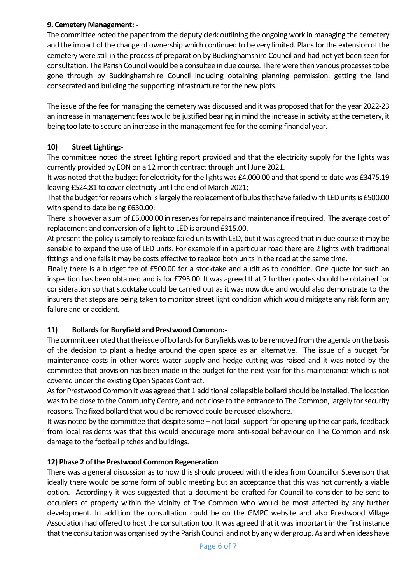## **9. Cemetery Management: -**

The committee noted the paper from the deputy clerk outlining the ongoing work in managing the cemetery and the impact of the change of ownership which continued to be very limited. Plans for the extension of the cemetery were still in the process of preparation by Buckinghamshire Council and had not yet been seen for consultation. The Parish Council would be a consultee in due course. There were then various processes to be gone through by Buckinghamshire Council including obtaining planning permission, getting the land consecrated and building the supporting infrastructure for the new plots.

The issue of the fee for managing the cemetery was discussed and it was proposed that for the year 2022-23 an increase in management fees would be justified bearing in mind the increase in activity at the cemetery, it being too late to secure an increase in the management fee for the coming financial year.

# **10) Street Lighting:-**

The committee noted the street lighting report provided and that the electricity supply for the lights was currently provided by EON on a 12 month contract through until June 2021.

It was noted that the budget for electricity for the lights was £4,000.00 and that spend to date was £3475.19 leaving £524.81 to cover electricity until the end of March 2021;

That the budget for repairs which is largely the replacement of bulbs that have failed with LED units is £500.00 with spend to date being £630.00;

There is however a sum of £5,000.00 in reserves for repairs and maintenance if required. The average cost of replacement and conversion of a light to LED is around £315.00.

At present the policy is simply to replace failed units with LED, but it was agreed that in due course it may be sensible to expand the use of LED units. For example if in a particular road there are 2 lights with traditional fittings and one fails it may be costs effective to replace both units in the road at the same time.

Finally there is a budget fee of £500.00 for a stocktake and audit as to condition. One quote for such an inspection has been obtained and is for £795.00. It was agreed that 2 further quotes should be obtained for consideration so that stocktake could be carried out as it was now due and would also demonstrate to the insurers that steps are being taken to monitor street light condition which would mitigate any risk form any failure and or accident.

# **11) Bollards for Buryfield and Prestwood Common:-**

The committee noted that the issue of bollards for Buryfields was to be removed from the agenda on the basis of the decision to plant a hedge around the open space as an alternative. The issue of a budget for maintenance costs in other words water supply and hedge cutting was raised and it was noted by the committee that provision has been made in the budget for the next year for this maintenance which is not covered under the existing Open Spaces Contract.

As for Prestwood Common it was agreed that 1 additional collapsible bollard should be installed. The location was to be close to the Community Centre, and not close to the entrance to The Common, largely for security reasons. The fixed bollard that would be removed could be reused elsewhere.

It was noted by the committee that despite some – not local -support for opening up the car park, feedback from local residents was that this would encourage more anti-social behaviour on The Common and risk damage to the football pitches and buildings.

# **12) Phase 2 of the Prestwood Common Regeneration**

There was a general discussion as to how this should proceed with the idea from Councillor Stevenson that ideally there would be some form of public meeting but an acceptance that this was not currently a viable option. Accordingly it was suggested that a document be drafted for Council to consider to be sent to occupiers of property within the vicinity of The Common who would be most affected by any further development. In addition the consultation could be on the GMPC website and also Prestwood Village Association had offered to host the consultation too. It was agreed that it was important in the first instance that the consultation was organised by the Parish Council and not by any wider group. As and when ideas have